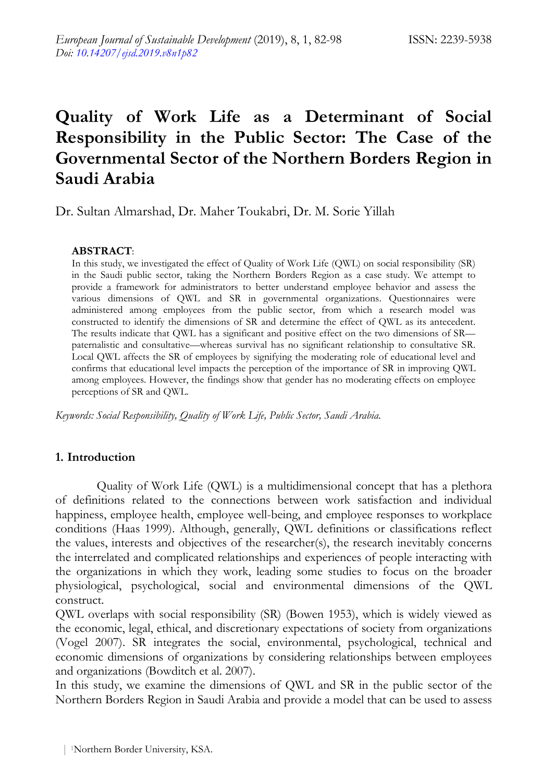# **Quality of Work Life as a Determinant of Social Responsibility in the Public Sector: The Case of the Governmental Sector of the Northern Borders Region in Saudi Arabia**

Dr. Sultan Almarshad, Dr. Maher Toukabri, Dr. M. Sorie Yillah

## **ABSTRACT**:

In this study, we investigated the effect of Quality of Work Life (QWL) on social responsibility (SR) in the Saudi public sector, taking the Northern Borders Region as a case study. We attempt to provide a framework for administrators to better understand employee behavior and assess the various dimensions of QWL and SR in governmental organizations. Questionnaires were administered among employees from the public sector, from which a research model was constructed to identify the dimensions of SR and determine the effect of QWL as its antecedent. The results indicate that QWL has a significant and positive effect on the two dimensions of SR paternalistic and consultative—whereas survival has no significant relationship to consultative SR. Local QWL affects the SR of employees by signifying the moderating role of educational level and confirms that educational level impacts the perception of the importance of SR in improving QWL among employees. However, the findings show that gender has no moderating effects on employee perceptions of SR and QWL.

*Keywords: Social Responsibility, Quality of Work Life, Public Sector, Saudi Arabia.*

# **1. Introduction**

Quality of Work Life (QWL) is a multidimensional concept that has a plethora of definitions related to the connections between work satisfaction and individual happiness, employee health, employee well-being, and employee responses to workplace conditions (Haas 1999). Although, generally, QWL definitions or classifications reflect the values, interests and objectives of the researcher(s), the research inevitably concerns the interrelated and complicated relationships and experiences of people interacting with the organizations in which they work, leading some studies to focus on the broader physiological, psychological, social and environmental dimensions of the QWL construct.

QWL overlaps with social responsibility (SR) (Bowen 1953), which is widely viewed as the economic, legal, ethical, and discretionary expectations of society from organizations (Vogel 2007). SR integrates the social, environmental, psychological, technical and economic dimensions of organizations by considering relationships between employees and organizations (Bowditch et al. 2007).

In this study, we examine the dimensions of QWL and SR in the public sector of the Northern Borders Region in Saudi Arabia and provide a model that can be used to assess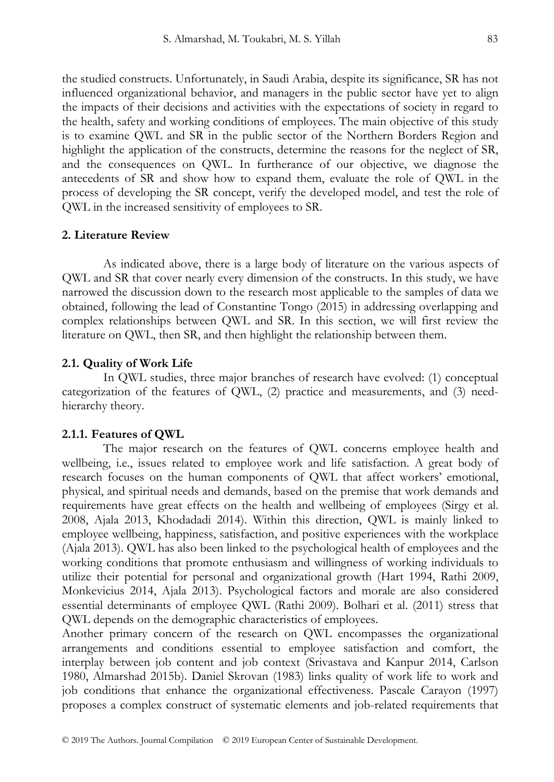the studied constructs. Unfortunately, in Saudi Arabia, despite its significance, SR has not influenced organizational behavior, and managers in the public sector have yet to align the impacts of their decisions and activities with the expectations of society in regard to the health, safety and working conditions of employees. The main objective of this study is to examine QWL and SR in the public sector of the Northern Borders Region and highlight the application of the constructs, determine the reasons for the neglect of SR, and the consequences on QWL. In furtherance of our objective, we diagnose the antecedents of SR and show how to expand them, evaluate the role of QWL in the process of developing the SR concept, verify the developed model, and test the role of QWL in the increased sensitivity of employees to SR.

### **2. Literature Review**

As indicated above, there is a large body of literature on the various aspects of QWL and SR that cover nearly every dimension of the constructs. In this study, we have narrowed the discussion down to the research most applicable to the samples of data we obtained, following the lead of Constantine Tongo (2015) in addressing overlapping and complex relationships between QWL and SR. In this section, we will first review the literature on QWL, then SR, and then highlight the relationship between them.

### **2.1. Quality of Work Life**

In QWL studies, three major branches of research have evolved: (1) conceptual categorization of the features of QWL, (2) practice and measurements, and (3) needhierarchy theory.

#### **2.1.1. Features of QWL**

The major research on the features of QWL concerns employee health and wellbeing, i.e., issues related to employee work and life satisfaction. A great body of research focuses on the human components of QWL that affect workers' emotional, physical, and spiritual needs and demands, based on the premise that work demands and requirements have great effects on the health and wellbeing of employees (Sirgy et al. 2008, Ajala 2013, Khodadadi 2014). Within this direction, QWL is mainly linked to employee wellbeing, happiness, satisfaction, and positive experiences with the workplace (Ajala 2013). QWL has also been linked to the psychological health of employees and the working conditions that promote enthusiasm and willingness of working individuals to utilize their potential for personal and organizational growth (Hart 1994, Rathi 2009, Monkevicius 2014, Ajala 2013). Psychological factors and morale are also considered essential determinants of employee QWL (Rathi 2009). Bolhari et al. (2011) stress that QWL depends on the demographic characteristics of employees.

Another primary concern of the research on QWL encompasses the organizational arrangements and conditions essential to employee satisfaction and comfort, the interplay between job content and job context (Srivastava and Kanpur 2014, Carlson 1980, Almarshad 2015b). Daniel Skrovan (1983) links quality of work life to work and job conditions that enhance the organizational effectiveness. Pascale Carayon (1997) proposes a complex construct of systematic elements and job-related requirements that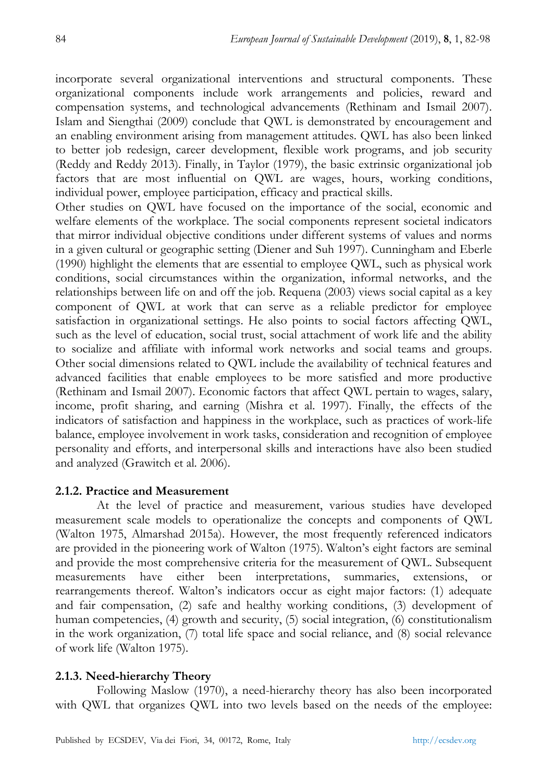incorporate several organizational interventions and structural components. These organizational components include work arrangements and policies, reward and compensation systems, and technological advancements (Rethinam and Ismail 2007). Islam and Siengthai (2009) conclude that QWL is demonstrated by encouragement and an enabling environment arising from management attitudes. QWL has also been linked to better job redesign, career development, flexible work programs, and job security (Reddy and Reddy 2013). Finally, in Taylor (1979), the basic extrinsic organizational job factors that are most influential on QWL are wages, hours, working conditions, individual power, employee participation, efficacy and practical skills.

Other studies on QWL have focused on the importance of the social, economic and welfare elements of the workplace. The social components represent societal indicators that mirror individual objective conditions under different systems of values and norms in a given cultural or geographic setting (Diener and Suh 1997). Cunningham and Eberle (1990) highlight the elements that are essential to employee QWL, such as physical work conditions, social circumstances within the organization, informal networks, and the relationships between life on and off the job. Requena (2003) views social capital as a key component of QWL at work that can serve as a reliable predictor for employee satisfaction in organizational settings. He also points to social factors affecting QWL, such as the level of education, social trust, social attachment of work life and the ability to socialize and affiliate with informal work networks and social teams and groups. Other social dimensions related to QWL include the availability of technical features and advanced facilities that enable employees to be more satisfied and more productive (Rethinam and Ismail 2007). Economic factors that affect QWL pertain to wages, salary, income, profit sharing, and earning (Mishra et al. 1997). Finally, the effects of the indicators of satisfaction and happiness in the workplace, such as practices of work-life balance, employee involvement in work tasks, consideration and recognition of employee personality and efforts, and interpersonal skills and interactions have also been studied and analyzed (Grawitch et al. 2006).

### **2.1.2. Practice and Measurement**

At the level of practice and measurement, various studies have developed measurement scale models to operationalize the concepts and components of QWL (Walton 1975, Almarshad 2015a). However, the most frequently referenced indicators are provided in the pioneering work of Walton (1975). Walton's eight factors are seminal and provide the most comprehensive criteria for the measurement of QWL. Subsequent measurements have either been interpretations, summaries, extensions, or rearrangements thereof. Walton's indicators occur as eight major factors: (1) adequate and fair compensation, (2) safe and healthy working conditions, (3) development of human competencies, (4) growth and security, (5) social integration, (6) constitutionalism in the work organization, (7) total life space and social reliance, and (8) social relevance of work life (Walton 1975).

### **2.1.3. Need-hierarchy Theory**

Following Maslow (1970), a need-hierarchy theory has also been incorporated with QWL that organizes QWL into two levels based on the needs of the employee: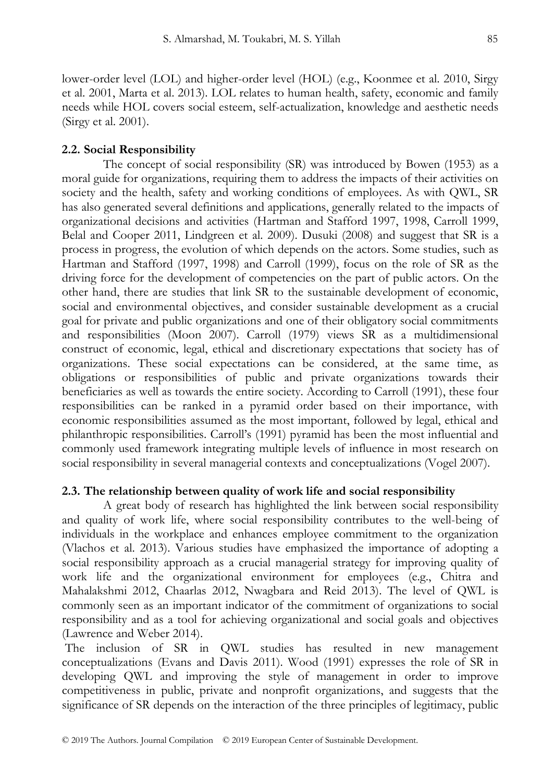lower-order level (LOL) and higher-order level (HOL) (e.g., Koonmee et al. 2010, Sirgy et al. 2001, Marta et al. 2013). LOL relates to human health, safety, economic and family needs while HOL covers social esteem, self-actualization, knowledge and aesthetic needs (Sirgy et al. 2001).

### **2.2. Social Responsibility**

The concept of social responsibility (SR) was introduced by Bowen (1953) as a moral guide for organizations, requiring them to address the impacts of their activities on society and the health, safety and working conditions of employees. As with QWL, SR has also generated several definitions and applications, generally related to the impacts of organizational decisions and activities (Hartman and Stafford 1997, 1998, Carroll 1999, Belal and Cooper 2011, Lindgreen et al. 2009). Dusuki (2008) and suggest that SR is a process in progress, the evolution of which depends on the actors. Some studies, such as Hartman and Stafford (1997, 1998) and Carroll (1999), focus on the role of SR as the driving force for the development of competencies on the part of public actors. On the other hand, there are studies that link SR to the sustainable development of economic, social and environmental objectives, and consider sustainable development as a crucial goal for private and public organizations and one of their obligatory social commitments and responsibilities (Moon 2007). Carroll (1979) views SR as a multidimensional construct of economic, legal, ethical and discretionary expectations that society has of organizations. These social expectations can be considered, at the same time, as obligations or responsibilities of public and private organizations towards their beneficiaries as well as towards the entire society. According to Carroll (1991), these four responsibilities can be ranked in a pyramid order based on their importance, with economic responsibilities assumed as the most important, followed by legal, ethical and philanthropic responsibilities. Carroll's (1991) pyramid has been the most influential and commonly used framework integrating multiple levels of influence in most research on social responsibility in several managerial contexts and conceptualizations (Vogel 2007).

### **2.3. The relationship between quality of work life and social responsibility**

A great body of research has highlighted the link between social responsibility and quality of work life, where social responsibility contributes to the well-being of individuals in the workplace and enhances employee commitment to the organization (Vlachos et al. 2013). Various studies have emphasized the importance of adopting a social responsibility approach as a crucial managerial strategy for improving quality of work life and the organizational environment for employees (e.g., Chitra and Mahalakshmi 2012, Chaarlas 2012, Nwagbara and Reid 2013). The level of QWL is commonly seen as an important indicator of the commitment of organizations to social responsibility and as a tool for achieving organizational and social goals and objectives (Lawrence and Weber 2014).

The inclusion of SR in QWL studies has resulted in new management conceptualizations (Evans and Davis 2011). Wood (1991) expresses the role of SR in developing QWL and improving the style of management in order to improve competitiveness in public, private and nonprofit organizations, and suggests that the significance of SR depends on the interaction of the three principles of legitimacy, public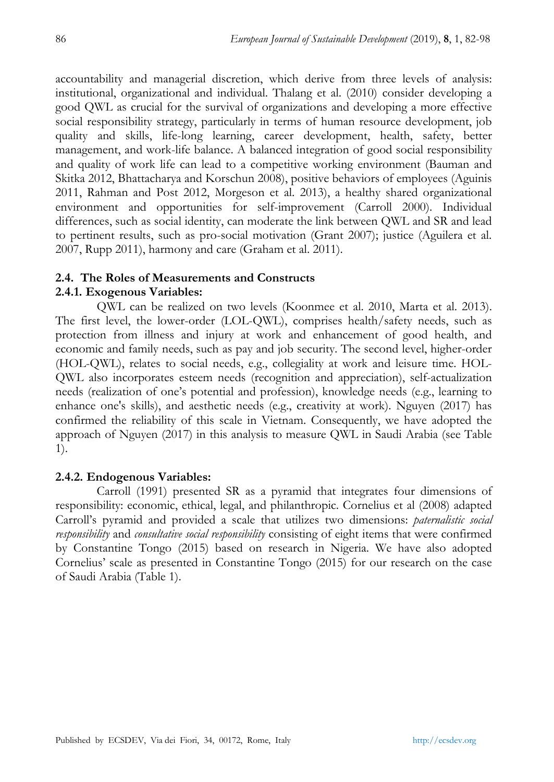accountability and managerial discretion, which derive from three levels of analysis: institutional, organizational and individual. Thalang et al. (2010) consider developing a good QWL as crucial for the survival of organizations and developing a more effective social responsibility strategy, particularly in terms of human resource development, job quality and skills, life-long learning, career development, health, safety, better management, and work-life balance. A balanced integration of good social responsibility and quality of work life can lead to a competitive working environment (Bauman and Skitka 2012, Bhattacharya and Korschun 2008), positive behaviors of employees (Aguinis 2011, Rahman and Post 2012, Morgeson et al. 2013), a healthy shared organizational environment and opportunities for self-improvement (Carroll 2000). Individual differences, such as social identity, can moderate the link between QWL and SR and lead to pertinent results, such as pro-social motivation (Grant 2007); justice (Aguilera et al. 2007, Rupp 2011), harmony and care (Graham et al. 2011).

# **2.4. The Roles of Measurements and Constructs**

# **2.4.1. Exogenous Variables:**

QWL can be realized on two levels (Koonmee et al. 2010, Marta et al. 2013). The first level, the lower-order (LOL-QWL), comprises health/safety needs, such as protection from illness and injury at work and enhancement of good health, and economic and family needs, such as pay and job security. The second level, higher-order (HOL-QWL), relates to social needs, e.g., collegiality at work and leisure time. HOL-QWL also incorporates esteem needs (recognition and appreciation), self-actualization needs (realization of one's potential and profession), knowledge needs (e.g., learning to enhance one's skills), and aesthetic needs (e.g., creativity at work). Nguyen (2017) has confirmed the reliability of this scale in Vietnam. Consequently, we have adopted the approach of Nguyen (2017) in this analysis to measure QWL in Saudi Arabia (see Table 1).

# **2.4.2. Endogenous Variables:**

Carroll (1991) presented SR as a pyramid that integrates four dimensions of responsibility: economic, ethical, legal, and philanthropic. Cornelius et al (2008) adapted Carroll's pyramid and provided a scale that utilizes two dimensions: *paternalistic social responsibility* and *consultative social responsibility* consisting of eight items that were confirmed by Constantine Tongo (2015) based on research in Nigeria. We have also adopted Cornelius' scale as presented in Constantine Tongo (2015) for our research on the case of Saudi Arabia (Table 1).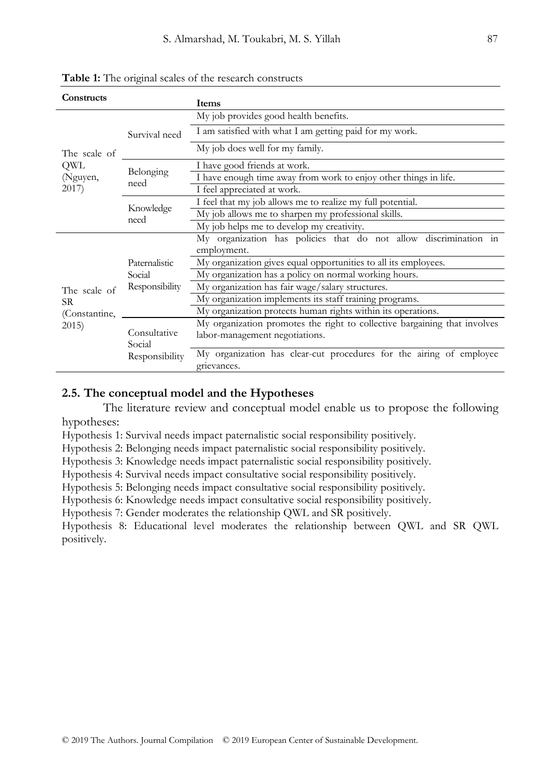| Constructs    | Items                  |                                                                                    |  |  |
|---------------|------------------------|------------------------------------------------------------------------------------|--|--|
|               |                        | My job provides good health benefits.                                              |  |  |
|               | Survival need          | I am satisfied with what I am getting paid for my work.                            |  |  |
| The scale of  |                        | My job does well for my family.                                                    |  |  |
| QWL           | Belonging              | I have good friends at work.                                                       |  |  |
| (Nguyen,      | need                   | I have enough time away from work to enjoy other things in life.                   |  |  |
| 2017)         |                        | I feel appreciated at work.                                                        |  |  |
|               | Knowledge<br>need      | I feel that my job allows me to realize my full potential.                         |  |  |
|               |                        | My job allows me to sharpen my professional skills.                                |  |  |
|               |                        | My job helps me to develop my creativity.                                          |  |  |
|               |                        | My organization has policies that do not allow discrimination in                   |  |  |
|               |                        | employment.                                                                        |  |  |
|               | Paternalistic          | My organization gives equal opportunities to all its employees.                    |  |  |
|               | Social                 | My organization has a policy on normal working hours.                              |  |  |
| The scale of  | Responsibility         | My organization has fair wage/salary structures.                                   |  |  |
| SR.           |                        | My organization implements its staff training programs.                            |  |  |
| (Constantine, |                        | My organization protects human rights within its operations.                       |  |  |
| 2015)         |                        | My organization promotes the right to collective bargaining that involves          |  |  |
|               | Consultative<br>Social | labor-management negotiations.                                                     |  |  |
|               | Responsibility         | My organization has clear-cut procedures for the airing of employee<br>grievances. |  |  |

**Table 1:** The original scales of the research constructs

### **2.5. The conceptual model and the Hypotheses**

The literature review and conceptual model enable us to propose the following hypotheses:

Hypothesis 1: Survival needs impact paternalistic social responsibility positively.

Hypothesis 2: Belonging needs impact paternalistic social responsibility positively.

Hypothesis 3: Knowledge needs impact paternalistic social responsibility positively.

Hypothesis 4: Survival needs impact consultative social responsibility positively.

Hypothesis 5: Belonging needs impact consultative social responsibility positively.

Hypothesis 6: Knowledge needs impact consultative social responsibility positively.

Hypothesis 7: Gender moderates the relationship QWL and SR positively.

Hypothesis 8: Educational level moderates the relationship between QWL and SR QWL positively.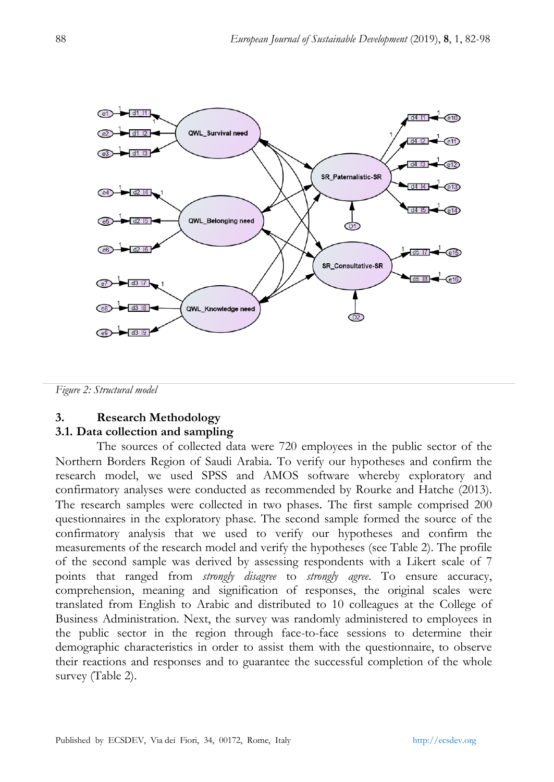

*Figure 2: Structural model*

# **3. Research Methodology**

# **3.1. Data collection and sampling**

The sources of collected data were 720 employees in the public sector of the Northern Borders Region of Saudi Arabia. To verify our hypotheses and confirm the research model, we used SPSS and AMOS software whereby exploratory and confirmatory analyses were conducted as recommended by Rourke and Hatche (2013). The research samples were collected in two phases. The first sample comprised 200 questionnaires in the exploratory phase. The second sample formed the source of the confirmatory analysis that we used to verify our hypotheses and confirm the measurements of the research model and verify the hypotheses (see Table 2). The profile of the second sample was derived by assessing respondents with a Likert scale of 7 points that ranged from *strongly disagree* to *strongly agree*. To ensure accuracy, comprehension, meaning and signification of responses, the original scales were translated from English to Arabic and distributed to 10 colleagues at the College of Business Administration. Next, the survey was randomly administered to employees in the public sector in the region through face-to-face sessions to determine their demographic characteristics in order to assist them with the questionnaire, to observe their reactions and responses and to guarantee the successful completion of the whole survey (Table 2).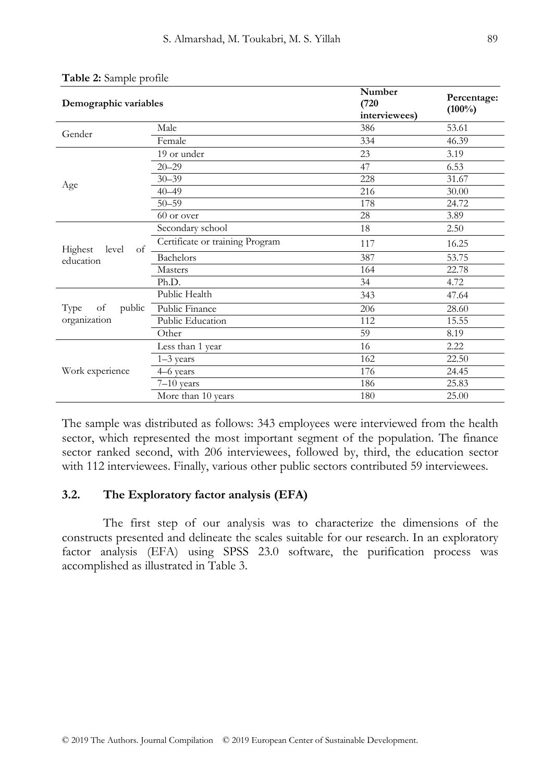| Demographic variables  |                                 | Number<br>(720)<br>interviewees) | Percentage:<br>$(100\%)$ |
|------------------------|---------------------------------|----------------------------------|--------------------------|
| Gender                 | Male                            | 386                              | 53.61                    |
|                        | Female                          | 334                              | 46.39                    |
|                        | 19 or under                     | 23                               | 3.19                     |
|                        | $20 - 29$                       | 47                               | 6.53                     |
|                        | $30 - 39$                       | 228                              | 31.67                    |
| Age                    | $40 - 49$                       | 216                              | 30.00                    |
|                        | $50 - 59$                       | 178                              | 24.72                    |
|                        | 60 or over                      | 28                               | 3.89                     |
|                        | Secondary school                | 18                               | 2.50                     |
| Highest<br>level<br>of | Certificate or training Program | 117                              | 16.25                    |
| education              | <b>Bachelors</b>                | 387                              | 53.75                    |
|                        | <b>Masters</b>                  | 164                              | 22.78                    |
|                        | Ph.D.                           | 34                               | 4.72                     |
|                        | Public Health                   | 343                              | 47.64                    |
| public<br>Type<br>of   | Public Finance                  | 206                              | 28.60                    |
| organization           | Public Education                | 112                              | 15.55                    |
|                        | Other                           | 59                               | 8.19                     |
|                        | Less than 1 year                | 16                               | 2.22                     |
|                        | 1-3 years                       | 162                              | 22.50                    |
| Work experience        | 4–6 years                       | 176                              | 24.45                    |
|                        | $7-10$ years                    | 186                              | 25.83                    |
|                        | More than 10 years              | 180                              | 25.00                    |

| Table 2: Sample profile |  |  |
|-------------------------|--|--|
|-------------------------|--|--|

The sample was distributed as follows: 343 employees were interviewed from the health sector, which represented the most important segment of the population. The finance sector ranked second, with 206 interviewees, followed by, third, the education sector with 112 interviewees. Finally, various other public sectors contributed 59 interviewees.

### **3.2. The Exploratory factor analysis (EFA)**

The first step of our analysis was to characterize the dimensions of the constructs presented and delineate the scales suitable for our research. In an exploratory factor analysis (EFA) using SPSS 23.0 software, the purification process was accomplished as illustrated in Table 3.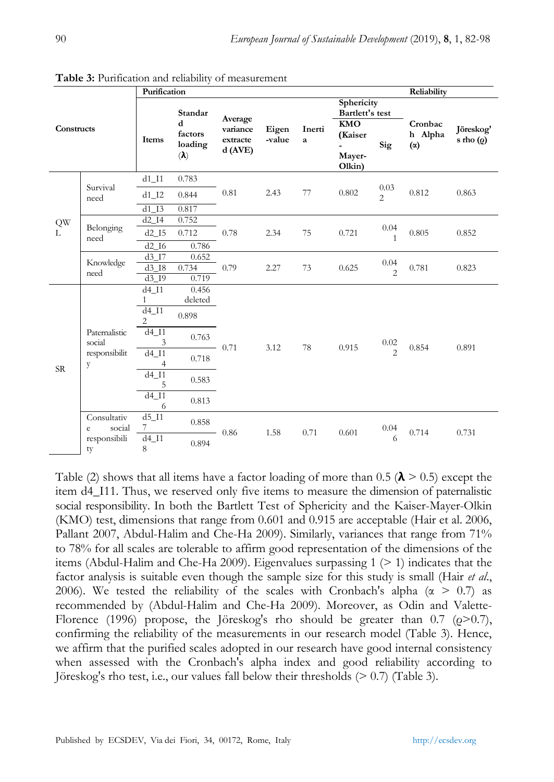|               |                            | Purification                             |                                              |                                           |                 |             |                                           |                                  | Reliability                      |                                |
|---------------|----------------------------|------------------------------------------|----------------------------------------------|-------------------------------------------|-----------------|-------------|-------------------------------------------|----------------------------------|----------------------------------|--------------------------------|
| Constructs    |                            |                                          | Standar                                      |                                           |                 |             | Sphericity<br>Bartlett's test             |                                  |                                  |                                |
|               |                            | Items                                    | d<br>factors<br>loading<br>$(\pmb{\lambda})$ | Average<br>variance<br>extracte<br>d(AVE) | Eigen<br>-value | Inerti<br>a | <b>KMO</b><br>(Kaiser<br>Mayer-<br>Olkin) | Sig                              | Cronbac<br>h Alpha<br>$(\alpha)$ | Jöreskog'<br>s rho $(\varrho)$ |
|               |                            | $d1$ <sub><math> I1</math></sub>         | 0.783                                        |                                           |                 |             |                                           |                                  |                                  |                                |
|               | Survival<br>need           | $d1$ <sup>12</sup>                       | 0.844                                        | 0.81                                      | 2.43            | 77          | 0.802                                     | 0.03<br>$\overline{\mathcal{L}}$ | 0.812                            | 0.863                          |
|               |                            | d1 I3                                    | 0.817                                        |                                           |                 |             |                                           |                                  |                                  |                                |
| $\mathrm{QW}$ | Belonging<br>need          | $d2$ I4                                  | 0.752                                        | 0.78                                      |                 |             | 0.721                                     |                                  | 0.805                            | 0.852                          |
| L             |                            | $d2$ $I5$                                | 0.712                                        |                                           | 2.34            | 75          |                                           | 0.04<br>1                        |                                  |                                |
|               |                            | d2I6                                     | 0.786                                        |                                           |                 |             |                                           |                                  |                                  |                                |
|               | Knowledge<br>need          | d3 I7                                    | 0.652                                        | 0.79                                      | 2.27            | 73          | 0.625                                     | 0.04<br>$\mathfrak{D}$           |                                  |                                |
|               |                            | d3 I8                                    | 0.734<br>0.719                               |                                           |                 |             |                                           |                                  | 0.781                            | 0.823                          |
|               |                            | $d3$ <sub>19</sub><br>$d4$ <sup>11</sup> | 0.456                                        |                                           |                 |             |                                           |                                  |                                  |                                |
|               |                            | $\mathbf{1}$                             | deleted                                      |                                           |                 |             |                                           |                                  |                                  |                                |
|               |                            | $d4$ $I1$<br>$\overline{c}$              | 0.898                                        | $-0.71$                                   | 3.12            | 78          | 0.915                                     | 0.02<br>$\mathfrak{D}$           | 0.854                            | 0.891                          |
|               | Paternalistic<br>social    | $d4$ <sup>I1</sup><br>3                  | 0.763                                        |                                           |                 |             |                                           |                                  |                                  |                                |
| <b>SR</b>     | responsibilit<br>y         | $d4$ $I1$<br>$\overline{4}$              | 0.718                                        |                                           |                 |             |                                           |                                  |                                  |                                |
|               |                            | $d4$ <sup>11</sup><br>5                  | 0.583                                        |                                           |                 |             |                                           |                                  |                                  |                                |
|               |                            | $d4$ <sup><math>11</math></sup><br>6     | 0.813                                        |                                           |                 |             |                                           |                                  |                                  |                                |
|               | Consultativ<br>social<br>e | $d5_l11$<br>7                            | 0.858                                        |                                           | 1.58            | 0.71        | 0.601                                     | 0.04<br>6                        |                                  |                                |
|               | responsibili<br>ty         | $d4$ <sup>11</sup><br>8                  | 0.894                                        | $-0.86$                                   |                 |             |                                           |                                  | 0.714                            | 0.731                          |

**Table 3:** Purification and reliability of measurement

Table (2) shows that all items have a factor loading of more than 0.5 ( $\lambda$  > 0.5) except the item d4\_I11. Thus, we reserved only five items to measure the dimension of paternalistic social responsibility. In both the Bartlett Test of Sphericity and the Kaiser-Mayer-Olkin (KMO) test, dimensions that range from 0.601 and 0.915 are acceptable (Hair et al. 2006, Pallant 2007, Abdul-Halim and Che-Ha 2009). Similarly, variances that range from 71% to 78% for all scales are tolerable to affirm good representation of the dimensions of the items (Abdul-Halim and Che-Ha 2009). Eigenvalues surpassing  $1$  ( $\geq$  1) indicates that the factor analysis is suitable even though the sample size for this study is small (Hair *et al*., 2006). We tested the reliability of the scales with Cronbach's alpha ( $\alpha > 0.7$ ) as recommended by (Abdul-Halim and Che-Ha 2009). Moreover, as Odin and Valette-Florence (1996) propose, the Jöreskog's rho should be greater than 0.7 ( $\varrho$ >0.7), confirming the reliability of the measurements in our research model (Table 3). Hence, we affirm that the purified scales adopted in our research have good internal consistency when assessed with the Cronbach's alpha index and good reliability according to Jöreskog's rho test, i.e., our values fall below their thresholds (> 0.7) (Table 3).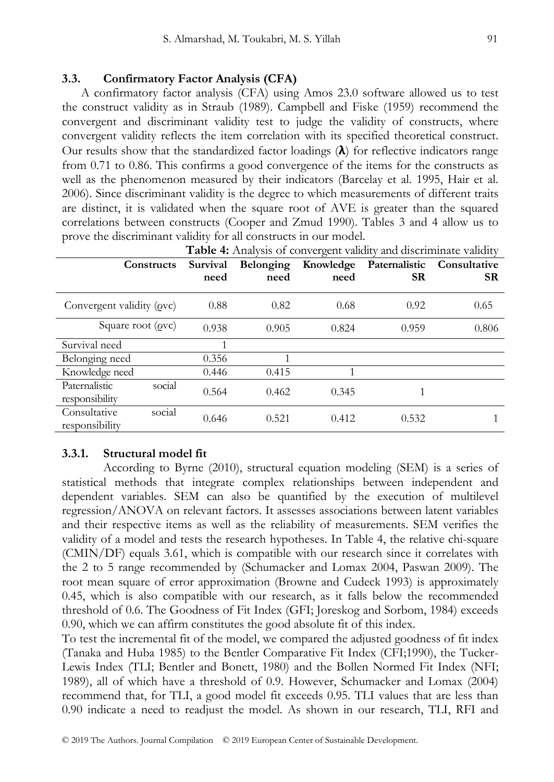## **3.3. Confirmatory Factor Analysis (CFA)**

 A confirmatory factor analysis (CFA) using Amos 23.0 software allowed us to test the construct validity as in Straub (1989). Campbell and Fiske (1959) recommend the convergent and discriminant validity test to judge the validity of constructs, where convergent validity reflects the item correlation with its specified theoretical construct. Our results show that the standardized factor loadings  $(\lambda)$  for reflective indicators range from 0.71 to 0.86. This confirms a good convergence of the items for the constructs as well as the phenomenon measured by their indicators (Barcelay et al. 1995, Hair et al. 2006). Since discriminant validity is the degree to which measurements of different traits are distinct, it is validated when the square root of AVE is greater than the squared correlations between constructs (Cooper and Zmud 1990). Tables 3 and 4 allow us to prove the discriminant validity for all constructs in our model.

| Table 4: Analysis of convergent validity and discriminate validity |                  |                   |                   |                            |                           |  |
|--------------------------------------------------------------------|------------------|-------------------|-------------------|----------------------------|---------------------------|--|
| Constructs                                                         | Survival<br>need | Belonging<br>need | Knowledge<br>need | Paternalistic<br><b>SR</b> | Consultative<br><b>SR</b> |  |
| Convergent validity ( <i>ovc</i> )                                 | 0.88             | 0.82              | 0.68              | 0.92                       | 0.65                      |  |
|                                                                    |                  |                   |                   |                            |                           |  |
| Square root $(\rho v c)$                                           | 0.938            | 0.905             | 0.824             | 0.959                      | 0.806                     |  |
| Survival need                                                      |                  |                   |                   |                            |                           |  |
| Belonging need                                                     | 0.356            | 1                 |                   |                            |                           |  |
| Knowledge need                                                     | 0.446            | 0.415             |                   |                            |                           |  |
| social<br>Paternalistic<br>responsibility                          | 0.564            | 0.462             | 0.345             |                            |                           |  |
| social<br>Consultative<br>responsibility                           | 0.646            | 0.521             | 0.412             | 0.532                      |                           |  |

### **3.3.1. Structural model fit**

According to Byrne (2010), structural equation modeling (SEM) is a series of statistical methods that integrate complex relationships between independent and dependent variables. SEM can also be quantified by the execution of multilevel regression/ANOVA on relevant factors. It assesses associations between latent variables and their respective items as well as the reliability of measurements. SEM verifies the validity of a model and tests the research hypotheses. In Table 4, the relative chi-square (CMIN/DF) equals 3.61, which is compatible with our research since it correlates with the 2 to 5 range recommended by (Schumacker and Lomax 2004, Paswan 2009). The root mean square of error approximation (Browne and Cudeck 1993) is approximately 0.45, which is also compatible with our research, as it falls below the recommended threshold of 0.6. The Goodness of Fit Index (GFI; Joreskog and Sorbom, 1984) exceeds 0.90, which we can affirm constitutes the good absolute fit of this index.

To test the incremental fit of the model, we compared the adjusted goodness of fit index (Tanaka and Huba 1985) to the Bentler Comparative Fit Index (CFI;1990), the Tucker-Lewis Index (TLI; Bentler and Bonett, 1980) and the Bollen Normed Fit Index (NFI; 1989), all of which have a threshold of 0.9. However, Schumacker and Lomax (2004) recommend that, for TLI, a good model fit exceeds 0.95. TLI values that are less than 0.90 indicate a need to readjust the model. As shown in our research, TLI, RFI and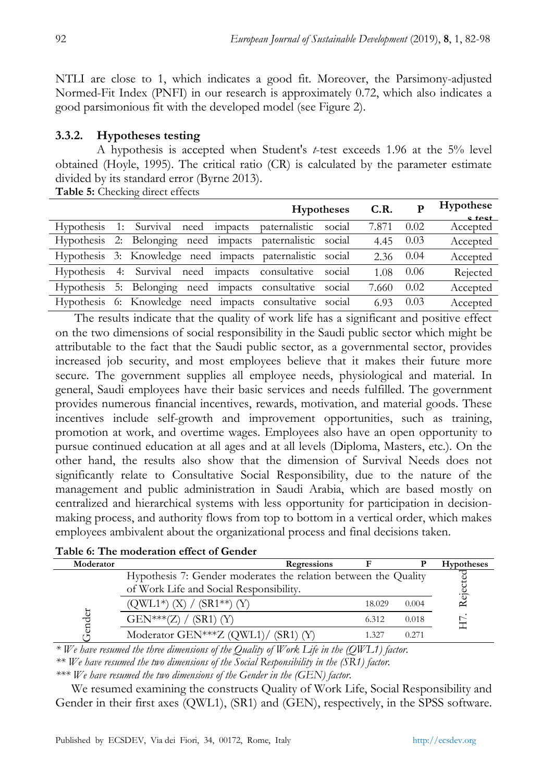NTLI are close to 1, which indicates a good fit. Moreover, the Parsimony-adjusted Normed-Fit Index (PNFI) in our research is approximately 0.72, which also indicates a good parsimonious fit with the developed model (see Figure 2).

# **3.3.2. Hypotheses testing**

A hypothesis is accepted when Student's *t*-test exceeds 1.96 at the 5% level obtained (Hoyle, 1995). The critical ratio (CR) is calculated by the parameter estimate divided by its standard error (Byrne 2013). **Table 5:** Checking direct effects

| <b>Hypotheses</b>                                         | C.R.  | р    | Hypothese<br>e teet |
|-----------------------------------------------------------|-------|------|---------------------|
| Hypothesis 1: Survival need impacts paternalistic social  | 7.871 | 0.02 | Accepted            |
| Hypothesis 2: Belonging need impacts paternalistic social | 4.45  | 0.03 | Accepted            |
| Hypothesis 3: Knowledge need impacts paternalistic social | 2.36  | 0.04 | Accepted            |
| Hypothesis 4: Survival need impacts consultative social   | 1.08  | 0.06 | Rejected            |
| Hypothesis 5: Belonging need impacts consultative social  | 7.660 | 0.02 | Accepted            |
| Hypothesis 6: Knowledge need impacts consultative social  | 6.93  | 0.03 | Accepted            |

 The results indicate that the quality of work life has a significant and positive effect on the two dimensions of social responsibility in the Saudi public sector which might be attributable to the fact that the Saudi public sector, as a governmental sector, provides increased job security, and most employees believe that it makes their future more secure. The government supplies all employee needs, physiological and material. In general, Saudi employees have their basic services and needs fulfilled. The government provides numerous financial incentives, rewards, motivation, and material goods. These incentives include self-growth and improvement opportunities, such as training, promotion at work, and overtime wages. Employees also have an open opportunity to pursue continued education at all ages and at all levels (Diploma, Masters, etc.). On the other hand, the results also show that the dimension of Survival Needs does not significantly relate to Consultative Social Responsibility, due to the nature of the management and public administration in Saudi Arabia, which are based mostly on centralized and hierarchical systems with less opportunity for participation in decisionmaking process, and authority flows from top to bottom in a vertical order, which makes employees ambivalent about the organizational process and final decisions taken.

|  |  | Table 6: The moderation effect of Gender |  |  |
|--|--|------------------------------------------|--|--|
|  |  |                                          |  |  |

| Moderator |                                                                 | Regressions |        |       | <b>Hypotheses</b> |
|-----------|-----------------------------------------------------------------|-------------|--------|-------|-------------------|
|           | Hypothesis 7: Gender moderates the relation between the Quality |             |        |       |                   |
|           | of Work Life and Social Responsibility.                         |             |        |       | Rejected          |
|           | $(QWL1*)$ $(X) / (SR1**)$ $(Y)$                                 |             | 18.029 | 0.004 |                   |
| đ<br>pre  | $GEN***(Z) / (SR1) (Y)$                                         |             | 6.312  | 0.018 |                   |
|           | Moderator GEN***Z $(QWL1) / (SR1) (Y)$                          |             | 1.327  | 0.271 |                   |

*\* We have resumed the three dimensions of the Quality of Work Life in the (QWL1) factor.*

*\*\* We have resumed the two dimensions of the Social Responsibility in the (SR1) factor.*

*\*\*\* We have resumed the two dimensions of the Gender in the (GEN) factor.*

 We resumed examining the constructs Quality of Work Life, Social Responsibility and Gender in their first axes (QWL1), (SR1) and (GEN), respectively, in the SPSS software.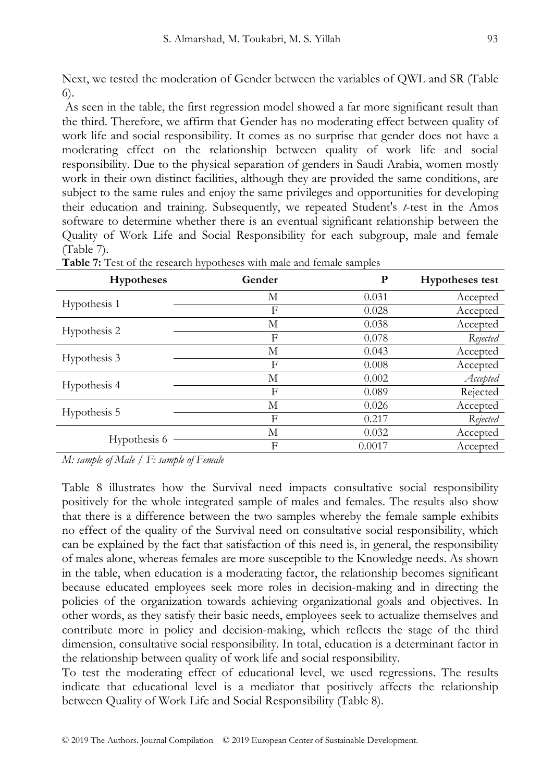Next, we tested the moderation of Gender between the variables of QWL and SR (Table 6).

As seen in the table, the first regression model showed a far more significant result than the third. Therefore, we affirm that Gender has no moderating effect between quality of work life and social responsibility. It comes as no surprise that gender does not have a moderating effect on the relationship between quality of work life and social responsibility. Due to the physical separation of genders in Saudi Arabia, women mostly work in their own distinct facilities, although they are provided the same conditions, are subject to the same rules and enjoy the same privileges and opportunities for developing their education and training. Subsequently, we repeated Student's *t*-test in the Amos software to determine whether there is an eventual significant relationship between the Quality of Work Life and Social Responsibility for each subgroup, male and female (Table 7).

| <b>Hypotheses</b> | Gender | P      | <b>Hypotheses test</b> |
|-------------------|--------|--------|------------------------|
|                   | М      | 0.031  | Accepted               |
| Hypothesis 1      | F      | 0.028  | Accepted               |
|                   | М      | 0.038  | Accepted               |
| Hypothesis 2      | F      | 0.078  | Rejected               |
|                   | М      | 0.043  | Accepted               |
| Hypothesis 3      | F      | 0.008  | Accepted               |
|                   | М      | 0.002  | Accepted               |
| Hypothesis 4      | F      | 0.089  | Rejected               |
|                   | М      | 0.026  | Accepted               |
| Hypothesis 5      | F      | 0.217  | Rejected               |
|                   | М      | 0.032  | Accepted               |
| Hypothesis 6      | F      | 0.0017 | Accepted               |

**Table 7:** Test of the research hypotheses with male and female samples

*M: sample of Male / F: sample of Female*

Table 8 illustrates how the Survival need impacts consultative social responsibility positively for the whole integrated sample of males and females. The results also show that there is a difference between the two samples whereby the female sample exhibits no effect of the quality of the Survival need on consultative social responsibility, which can be explained by the fact that satisfaction of this need is, in general, the responsibility of males alone, whereas females are more susceptible to the Knowledge needs. As shown in the table, when education is a moderating factor, the relationship becomes significant because educated employees seek more roles in decision-making and in directing the policies of the organization towards achieving organizational goals and objectives. In other words, as they satisfy their basic needs, employees seek to actualize themselves and contribute more in policy and decision-making, which reflects the stage of the third dimension, consultative social responsibility. In total, education is a determinant factor in the relationship between quality of work life and social responsibility.

To test the moderating effect of educational level, we used regressions. The results indicate that educational level is a mediator that positively affects the relationship between Quality of Work Life and Social Responsibility (Table 8).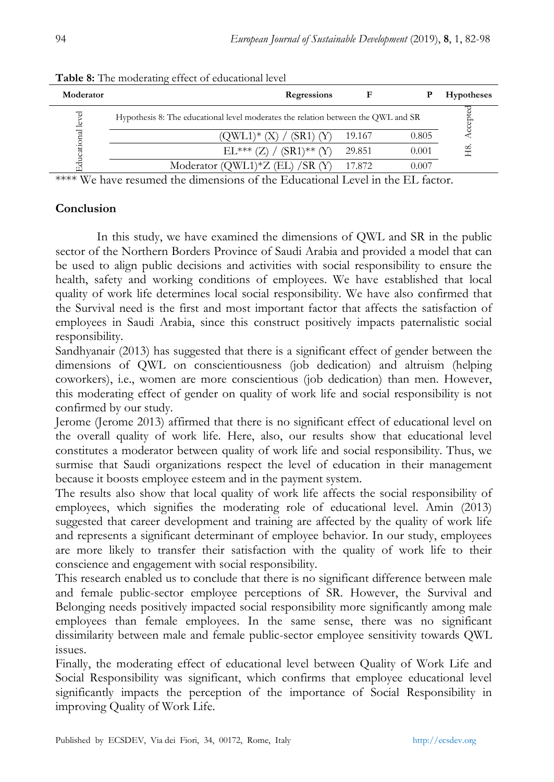| Moderator  | Regressions                                                                       |        |       | <b>Hypotheses</b> |
|------------|-----------------------------------------------------------------------------------|--------|-------|-------------------|
| level      | Hypothesis 8: The educational level moderates the relation between the QWL and SR |        |       | Accepted          |
|            | (OWL1)* (X)<br>(SR1) (Y)                                                          | 19.167 | 0.805 |                   |
| ducational | $(SR1)$ ** $(Y)$<br>$EL***(Z)$                                                    | 29.851 | 0.001 | H8                |
|            | Moderator (QWL1)*Z (EL) /SR (Y)                                                   | 17.872 | 0.007 |                   |

**Table 8:** The moderating effect of educational level

 $****$  We have resumed the dimensions of the Educational Level in the EL factor.

# **Conclusion**

In this study, we have examined the dimensions of QWL and SR in the public sector of the Northern Borders Province of Saudi Arabia and provided a model that can be used to align public decisions and activities with social responsibility to ensure the health, safety and working conditions of employees. We have established that local quality of work life determines local social responsibility. We have also confirmed that the Survival need is the first and most important factor that affects the satisfaction of employees in Saudi Arabia, since this construct positively impacts paternalistic social responsibility.

Sandhyanair (2013) has suggested that there is a significant effect of gender between the dimensions of QWL on conscientiousness (job dedication) and altruism (helping coworkers), i.e., women are more conscientious (job dedication) than men. However, this moderating effect of gender on quality of work life and social responsibility is not confirmed by our study.

Jerome (Jerome 2013) affirmed that there is no significant effect of educational level on the overall quality of work life. Here, also, our results show that educational level constitutes a moderator between quality of work life and social responsibility. Thus, we surmise that Saudi organizations respect the level of education in their management because it boosts employee esteem and in the payment system.

The results also show that local quality of work life affects the social responsibility of employees, which signifies the moderating role of educational level. Amin (2013) suggested that career development and training are affected by the quality of work life and represents a significant determinant of employee behavior. In our study, employees are more likely to transfer their satisfaction with the quality of work life to their conscience and engagement with social responsibility.

This research enabled us to conclude that there is no significant difference between male and female public-sector employee perceptions of SR. However, the Survival and Belonging needs positively impacted social responsibility more significantly among male employees than female employees. In the same sense, there was no significant dissimilarity between male and female public-sector employee sensitivity towards QWL issues.

Finally, the moderating effect of educational level between Quality of Work Life and Social Responsibility was significant, which confirms that employee educational level significantly impacts the perception of the importance of Social Responsibility in improving Quality of Work Life.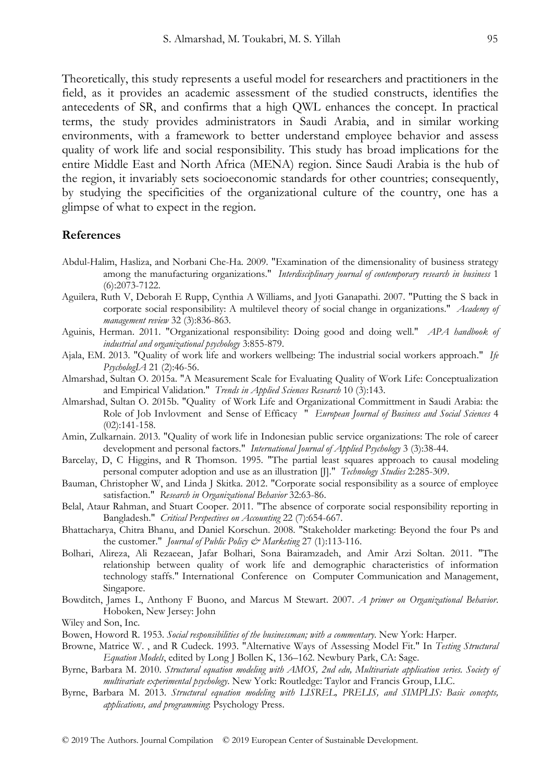Theoretically, this study represents a useful model for researchers and practitioners in the field, as it provides an academic assessment of the studied constructs, identifies the antecedents of SR, and confirms that a high QWL enhances the concept. In practical terms, the study provides administrators in Saudi Arabia, and in similar working environments, with a framework to better understand employee behavior and assess quality of work life and social responsibility. This study has broad implications for the entire Middle East and North Africa (MENA) region. Since Saudi Arabia is the hub of the region, it invariably sets socioeconomic standards for other countries; consequently, by studying the specificities of the organizational culture of the country, one has a glimpse of what to expect in the region.

### **References**

- Abdul-Halim, Hasliza, and Norbani Che-Ha. 2009. "Examination of the dimensionality of business strategy among the manufacturing organizations." *Interdisciplinary journal of contemporary research in business* 1 (6):2073-7122.
- Aguilera, Ruth V, Deborah E Rupp, Cynthia A Williams, and Jyoti Ganapathi. 2007. "Putting the S back in corporate social responsibility: A multilevel theory of social change in organizations." *Academy of management review* 32 (3):836-863.
- Aguinis, Herman. 2011. "Organizational responsibility: Doing good and doing well." *APA handbook of industrial and organizational psychology* 3:855-879.
- Ajala, EM. 2013. "Quality of work life and workers wellbeing: The industrial social workers approach." *Ife PsychologIA* 21 (2):46-56.
- Almarshad, Sultan O. 2015a. "A Measurement Scale for Evaluating Quality of Work Life: Conceptualization and Empirical Validation." *Trends in Applied Sciences Research* 10 (3):143.
- Almarshad, Sultan O. 2015b. "Quality of Work Life and Organizational Committment in Saudi Arabia: the Role of Job Invlovment and Sense of Efficacy " *European Journal of Business and Social Sciences* 4 (02):141-158.
- Amin, Zulkarnain. 2013. "Quality of work life in Indonesian public service organizations: The role of career development and personal factors." *International Journal of Applied Psychology* 3 (3):38-44.
- Barcelay, D, C Higgins, and R Thomson. 1995. "The partial least squares approach to causal modeling personal computer adoption and use as an illustration [J]." *Technology Studies* 2:285-309.
- Bauman, Christopher W, and Linda J Skitka. 2012. "Corporate social responsibility as a source of employee satisfaction." *Research in Organizational Behavior* 32:63-86.
- Belal, Ataur Rahman, and Stuart Cooper. 2011. "The absence of corporate social responsibility reporting in Bangladesh." *Critical Perspectives on Accounting* 22 (7):654-667.
- Bhattacharya, Chitra Bhanu, and Daniel Korschun. 2008. "Stakeholder marketing: Beyond the four Ps and the customer." *Journal of Public Policy & Marketing* 27 (1):113-116.
- Bolhari, Alireza, Ali Rezaeean, Jafar Bolhari, Sona Bairamzadeh, and Amir Arzi Soltan. 2011. "The relationship between quality of work life and demographic characteristics of information technology staffs." International Conference on Computer Communication and Management, Singapore.
- Bowditch, James L, Anthony F Buono, and Marcus M Stewart. 2007. *A primer on Organizational Behavior*. Hoboken, New Jersey: John

Wiley and Son, Inc.

- Bowen, Howord R. 1953. *Social responsibilities of the businessman; with a commentary*. New York: Harper.
- Browne, Matrice W. , and R Cudeck. 1993. "Alternative Ways of Assessing Model Fit." In *Testing Structural Equation Models*, edited by Long J Bollen K, 136–162. Newbury Park, CA: Sage.
- Byrne, Barbara M. 2010. *Structural equation modeling with AMOS, 2nd edn, Multivariate application series. Society of multivariate experimental psychology*. New York: Routledge: Taylor and Francis Group, LLC.
- Byrne, Barbara M. 2013. *Structural equation modeling with LISREL, PRELIS, and SIMPLIS: Basic concepts, applications, and programming*: Psychology Press.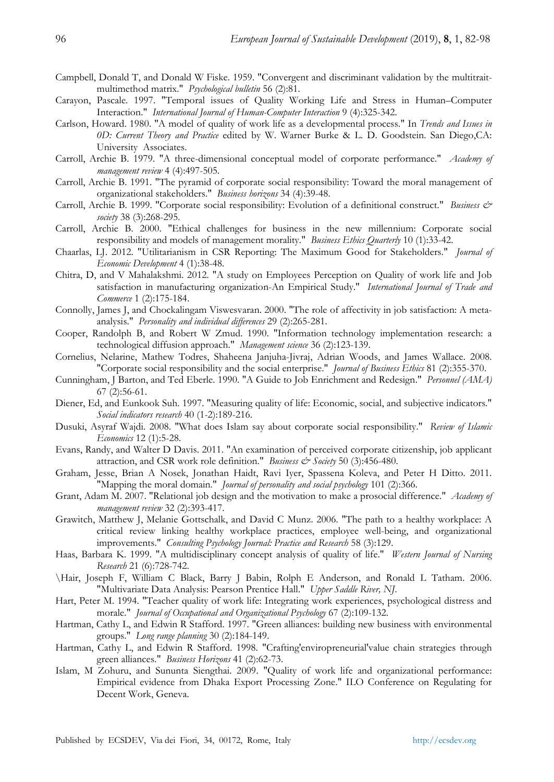- Campbell, Donald T, and Donald W Fiske. 1959. "Convergent and discriminant validation by the multitraitmultimethod matrix." *Psychological bulletin* 56 (2):81.
- Carayon, Pascale. 1997. "Temporal issues of Quality Working Life and Stress in Human–Computer Interaction." *International Journal of Human-Computer Interaction* 9 (4):325-342.
- Carlson, Howard. 1980. "A model of quality of work life as a developmental process." In *Trends and Issues in 0D: Current Theory and Practice* edited by W. Warner Burke & L. D. Goodstein. San Diego,CA: University Associates.
- Carroll, Archie B. 1979. "A three-dimensional conceptual model of corporate performance." *Academy of management review* 4 (4):497-505.
- Carroll, Archie B. 1991. "The pyramid of corporate social responsibility: Toward the moral management of organizational stakeholders." *Business horizons* 34 (4):39-48.
- Carroll, Archie B. 1999. "Corporate social responsibility: Evolution of a definitional construct." *Business & society* 38 (3):268-295.
- Carroll, Archie B. 2000. "Ethical challenges for business in the new millennium: Corporate social responsibility and models of management morality." *Business Ethics Quarterly* 10 (1):33-42.
- Chaarlas, LJ. 2012. "Utilitarianism in CSR Reporting: The Maximum Good for Stakeholders." *Journal of Economic Development* 4 (1):38-48.
- Chitra, D, and V Mahalakshmi. 2012. "A study on Employees Perception on Quality of work life and Job satisfaction in manufacturing organization-An Empirical Study." *International Journal of Trade and Commerce* 1 (2):175-184.
- Connolly, James J, and Chockalingam Viswesvaran. 2000. "The role of affectivity in job satisfaction: A metaanalysis." *Personality and individual differences* 29 (2):265-281.
- Cooper, Randolph B, and Robert W Zmud. 1990. "Information technology implementation research: a technological diffusion approach." *Management science* 36 (2):123-139.
- Cornelius, Nelarine, Mathew Todres, Shaheena Janjuha-Jivraj, Adrian Woods, and James Wallace. 2008. "Corporate social responsibility and the social enterprise." *Journal of Business Ethics* 81 (2):355-370.
- Cunningham, J Barton, and Ted Eberle. 1990. "A Guide to Job Enrichment and Redesign." *Personnel (AMA)* 67 (2):56-61.
- Diener, Ed, and Eunkook Suh. 1997. "Measuring quality of life: Economic, social, and subjective indicators." *Social indicators research* 40 (1-2):189-216.
- Dusuki, Asyraf Wajdi. 2008. "What does Islam say about corporate social responsibility." *Review of Islamic Economics* 12 (1):5-28.
- Evans, Randy, and Walter D Davis. 2011. "An examination of perceived corporate citizenship, job applicant attraction, and CSR work role definition." *Business & Society* 50 (3):456-480.
- Graham, Jesse, Brian A Nosek, Jonathan Haidt, Ravi Iyer, Spassena Koleva, and Peter H Ditto. 2011. "Mapping the moral domain." *Journal of personality and social psychology* 101 (2):366.
- Grant, Adam M. 2007. "Relational job design and the motivation to make a prosocial difference." *Academy of management review* 32 (2):393-417.
- Grawitch, Matthew J, Melanie Gottschalk, and David C Munz. 2006. "The path to a healthy workplace: A critical review linking healthy workplace practices, employee well-being, and organizational improvements." *Consulting Psychology Journal: Practice and Research* 58 (3):129.
- Haas, Barbara K. 1999. "A multidisciplinary concept analysis of quality of life." *Western Journal of Nursing Research* 21 (6):728-742.
- \Hair, Joseph F, William C Black, Barry J Babin, Rolph E Anderson, and Ronald L Tatham. 2006. "Multivariate Data Analysis: Pearson Prentice Hall." *Upper Saddle River, NJ*.
- Hart, Peter M. 1994. "Teacher quality of work life: Integrating work experiences, psychological distress and morale." *Journal of Occupational and Organizational Psychology* 67 (2):109-132.
- Hartman, Cathy L, and Edwin R Stafford. 1997. "Green alliances: building new business with environmental groups." *Long range planning* 30 (2):184-149.
- Hartman, Cathy L, and Edwin R Stafford. 1998. "Crafting'enviropreneurial'value chain strategies through green alliances." *Business Horizons* 41 (2):62-73.
- Islam, M Zohuru, and Sununta Siengthai. 2009. "Quality of work life and organizational performance: Empirical evidence from Dhaka Export Processing Zone." ILO Conference on Regulating for Decent Work, Geneva.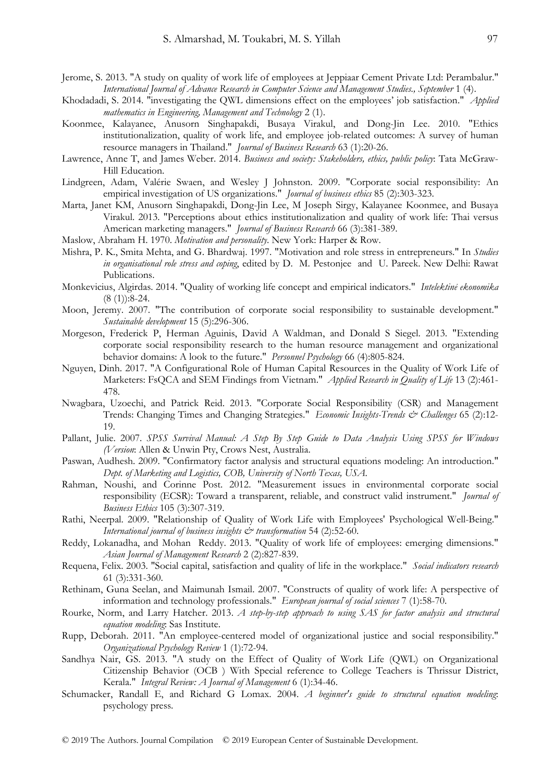- Jerome, S. 2013. "A study on quality of work life of employees at Jeppiaar Cement Private Ltd: Perambalur." *International Journal of Advance Research in Computer Science and Management Studies., September* 1 (4).
- Khodadadi, S. 2014. "investigating the QWL dimensions effect on the employees' job satisfaction." *Applied mathematics in Engineering, Management and Technology* 2 (1).
- Koonmee, Kalayanee, Anusorn Singhapakdi, Busaya Virakul, and Dong-Jin Lee. 2010. "Ethics institutionalization, quality of work life, and employee job-related outcomes: A survey of human resource managers in Thailand." *Journal of Business Research* 63 (1):20-26.
- Lawrence, Anne T, and James Weber. 2014. *Business and society: Stakeholders, ethics, public policy*: Tata McGraw-Hill Education.
- Lindgreen, Adam, Valérie Swaen, and Wesley J Johnston. 2009. "Corporate social responsibility: An empirical investigation of US organizations." *Journal of business ethics* 85 (2):303-323.
- Marta, Janet KM, Anusorn Singhapakdi, Dong-Jin Lee, M Joseph Sirgy, Kalayanee Koonmee, and Busaya Virakul. 2013. "Perceptions about ethics institutionalization and quality of work life: Thai versus American marketing managers." *Journal of Business Research* 66 (3):381-389.
- Maslow, Abraham H. 1970. *Motivation and personality*. New York: Harper & Row.
- Mishra, P. K., Smita Mehta, and G. Bhardwaj. 1997. "Motivation and role stress in entrepreneurs." In *Studies in organisational role stress and coping*, edited by D. M. Pestonjee and U. Pareek. New Delhi: Rawat Publications.
- Monkevicius, Algirdas. 2014. "Quality of working life concept and empirical indicators." *Intelektinė ekonomika* (8 (1)):8-24.
- Moon, Jeremy. 2007. "The contribution of corporate social responsibility to sustainable development." *Sustainable development* 15 (5):296-306.
- Morgeson, Frederick P, Herman Aguinis, David A Waldman, and Donald S Siegel. 2013. "Extending corporate social responsibility research to the human resource management and organizational behavior domains: A look to the future." *Personnel Psychology* 66 (4):805-824.
- Nguyen, Dinh. 2017. "A Configurational Role of Human Capital Resources in the Quality of Work Life of Marketers: FsQCA and SEM Findings from Vietnam." *Applied Research in Quality of Life* 13 (2):461- 478.
- Nwagbara, Uzoechi, and Patrick Reid. 2013. "Corporate Social Responsibility (CSR) and Management Trends: Changing Times and Changing Strategies." *Economic Insights-Trends & Challenges* 65 (2):12- 19.
- Pallant, Julie. 2007. *SPSS Survival Manual: A Step By Step Guide to Data Analysis Using SPSS for Windows (Version*: Allen & Unwin Pty, Crows Nest, Australia.
- Paswan, Audhesh. 2009. "Confirmatory factor analysis and structural equations modeling: An introduction." *Dept. of Marketing and Logistics, COB, University of North Texas, USA*.
- Rahman, Noushi, and Corinne Post. 2012. "Measurement issues in environmental corporate social responsibility (ECSR): Toward a transparent, reliable, and construct valid instrument." *Journal of Business Ethics* 105 (3):307-319.
- Rathi, Neerpal. 2009. "Relationship of Quality of Work Life with Employees' Psychological Well-Being." *International journal of business insights & transformation* 54 (2):52-60.
- Reddy, Lokanadha, and Mohan Reddy. 2013. "Quality of work life of employees: emerging dimensions." *Asian Journal of Management Research* 2 (2):827-839.
- Requena, Felix. 2003. "Social capital, satisfaction and quality of life in the workplace." *Social indicators research* 61 (3):331-360.
- Rethinam, Guna Seelan, and Maimunah Ismail. 2007. "Constructs of quality of work life: A perspective of information and technology professionals." *European journal of social sciences* 7 (1):58-70.
- Rourke, Norm, and Larry Hatcher. 2013. *A step-by-step approach to using SAS for factor analysis and structural equation modeling*: Sas Institute.
- Rupp, Deborah. 2011. "An employee-centered model of organizational justice and social responsibility." *Organizational Psychology Review* 1 (1):72-94.
- Sandhya Nair, GS. 2013. "A study on the Effect of Quality of Work Life (QWL) on Organizational Citizenship Behavior (OCB ) With Special reference to College Teachers is Thrissur District, Kerala." *Integral Review: A Journal of Management* 6 (1):34-46.
- Schumacker, Randall E, and Richard G Lomax. 2004. *A beginner's guide to structural equation modeling*: psychology press.